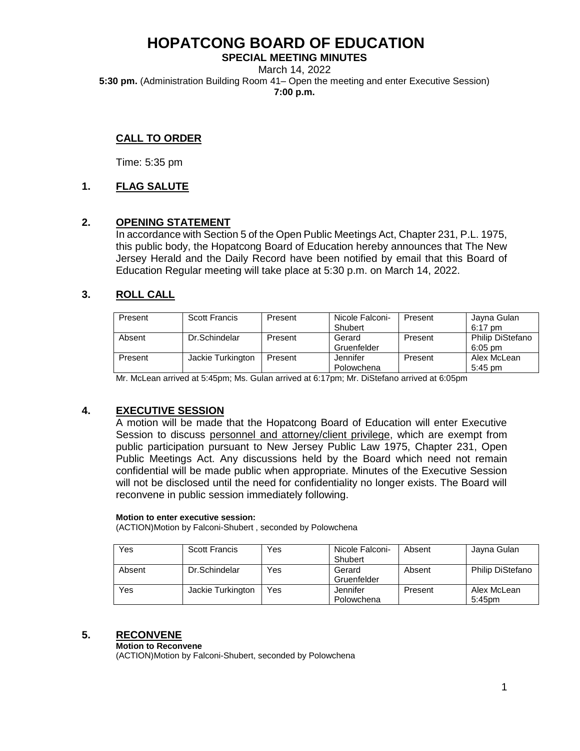**SPECIAL MEETING MINUTES** March 14, 2022 **5:30 pm.** (Administration Building Room 41– Open the meeting and enter Executive Session) **7:00 p.m.**

# **CALL TO ORDER**

Time: 5:35 pm

# **1. FLAG SALUTE**

# **2. OPENING STATEMENT**

In accordance with Section 5 of the Open Public Meetings Act, Chapter 231, P.L. 1975, this public body, the Hopatcong Board of Education hereby announces that The New Jersey Herald and the Daily Record have been notified by email that this Board of Education Regular meeting will take place at 5:30 p.m. on March 14, 2022.

# **3. ROLL CALL**

| Present | Scott Francis     | Present | Nicole Falconi-<br>Shubert | Present | Jayna Gulan<br>$6:17$ pm             |
|---------|-------------------|---------|----------------------------|---------|--------------------------------------|
| Absent  | Dr.Schindelar     | Present | Gerard<br>Gruenfelder      | Present | <b>Philip DiStefano</b><br>$6:05$ pm |
| Present | Jackie Turkington | Present | Jennifer<br>Polowchena     | Present | Alex McLean<br>$5:45$ pm             |

Mr. McLean arrived at 5:45pm; Ms. Gulan arrived at 6:17pm; Mr. DiStefano arrived at 6:05pm

# **4. EXECUTIVE SESSION**

A motion will be made that the Hopatcong Board of Education will enter Executive Session to discuss personnel and attorney/client privilege, which are exempt from public participation pursuant to New Jersey Public Law 1975, Chapter 231, Open Public Meetings Act. Any discussions held by the Board which need not remain confidential will be made public when appropriate. Minutes of the Executive Session will not be disclosed until the need for confidentiality no longer exists. The Board will reconvene in public session immediately following.

#### **Motion to enter executive session:**

(ACTION)Motion by Falconi-Shubert , seconded by Polowchena

| Yes    | Scott Francis     | Yes | Nicole Falconi-<br>Shubert | Absent  | Jayna Gulan             |
|--------|-------------------|-----|----------------------------|---------|-------------------------|
| Absent | Dr.Schindelar     | Yes | Gerard<br>Gruenfelder      | Absent  | <b>Philip DiStefano</b> |
| Yes    | Jackie Turkington | Yes | Jennifer<br>Polowchena     | Present | Alex McLean<br>5:45pm   |

#### **5. RECONVENE**

#### **Motion to Reconvene**

(ACTION)Motion by Falconi-Shubert, seconded by Polowchena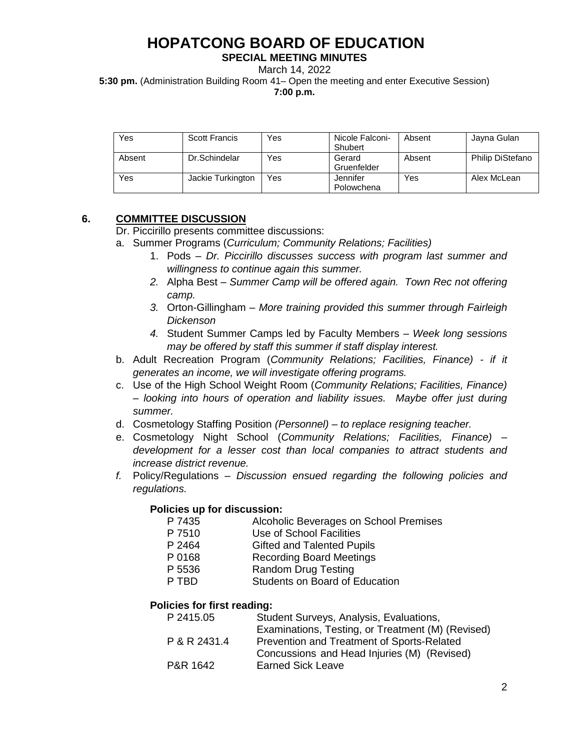### **SPECIAL MEETING MINUTES**

March 14, 2022

**5:30 pm.** (Administration Building Room 41– Open the meeting and enter Executive Session)

**7:00 p.m.**

| Yes    | <b>Scott Francis</b> | Yes | Nicole Falconi-<br>Shubert | Absent | Jayna Gulan      |
|--------|----------------------|-----|----------------------------|--------|------------------|
| Absent | Dr.Schindelar        | Yes | Gerard<br>Gruenfelder      | Absent | Philip DiStefano |
| Yes    | Jackie Turkington    | Yes | Jennifer<br>Polowchena     | Yes    | Alex McLean      |

# **6. COMMITTEE DISCUSSION**

Dr. Piccirillo presents committee discussions:

- a. Summer Programs (*Curriculum; Community Relations; Facilities)*
	- 1. Pods *Dr. Piccirillo discusses success with program last summer and willingness to continue again this summer.*
	- *2.* Alpha Best *Summer Camp will be offered again. Town Rec not offering camp.*
	- *3.* Orton-Gillingham *More training provided this summer through Fairleigh Dickenson*
	- *4.* Student Summer Camps led by Faculty Members *Week long sessions may be offered by staff this summer if staff display interest.*
- b. Adult Recreation Program (*Community Relations; Facilities, Finance) - if it generates an income, we will investigate offering programs.*
- c. Use of the High School Weight Room (*Community Relations; Facilities, Finance) – looking into hours of operation and liability issues. Maybe offer just during summer.*
- d. Cosmetology Staffing Position *(Personnel) – to replace resigning teacher.*
- e. Cosmetology Night School (*Community Relations; Facilities, Finance) – development for a lesser cost than local companies to attract students and increase district revenue.*
- *f.* Policy/Regulations *Discussion ensued regarding the following policies and regulations.*

# **Policies up for discussion:**

- P 7435 Alcoholic Beverages on School Premises
- P 7510 Use of School Facilities
- P 2464 Gifted and Talented Pupils
- P 0168 Recording Board Meetings
- P 5536 Random Drug Testing
- P TBD Students on Board of Education

# **Policies for first reading:**

| Student Surveys, Analysis, Evaluations,           |
|---------------------------------------------------|
| Examinations, Testing, or Treatment (M) (Revised) |
| Prevention and Treatment of Sports-Related        |
| Concussions and Head Injuries (M) (Revised)       |
| <b>Earned Sick Leave</b>                          |
|                                                   |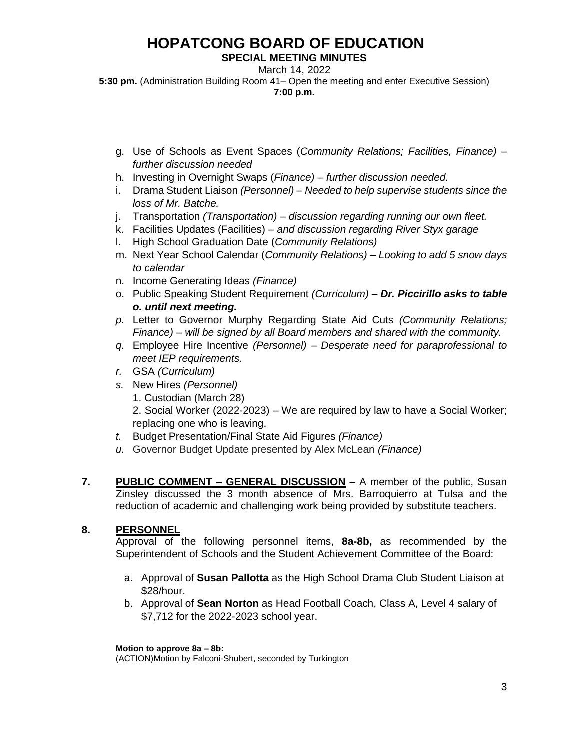### **SPECIAL MEETING MINUTES**

March 14, 2022

**5:30 pm.** (Administration Building Room 41– Open the meeting and enter Executive Session) **7:00 p.m.**

- g. Use of Schools as Event Spaces (*Community Relations; Facilities, Finance) – further discussion needed*
- h. Investing in Overnight Swaps (*Finance) – further discussion needed.*
- i. Drama Student Liaison *(Personnel) – Needed to help supervise students since the loss of Mr. Batche.*
- j. Transportation *(Transportation) – discussion regarding running our own fleet.*
- k. Facilities Updates (Facilities) *and discussion regarding River Styx garage*
- l. High School Graduation Date (*Community Relations)*
- m. Next Year School Calendar (*Community Relations) – Looking to add 5 snow days to calendar*
- n. Income Generating Ideas *(Finance)*
- o. Public Speaking Student Requirement *(Curriculum) – Dr. Piccirillo asks to table o. until next meeting.*
- *p.* Letter to Governor Murphy Regarding State Aid Cuts *(Community Relations; Finance) – will be signed by all Board members and shared with the community.*
- *q.* Employee Hire Incentive *(Personnel) – Desperate need for paraprofessional to meet IEP requirements.*
- *r.* GSA *(Curriculum)*
- *s.* New Hires *(Personnel)*
	- 1. Custodian (March 28)
	- 2. Social Worker (2022-2023) We are required by law to have a Social Worker; replacing one who is leaving.
- *t.* Budget Presentation/Final State Aid Figures *(Finance)*
- *u.* Governor Budget Update presented by Alex McLean *(Finance)*
- **7. PUBLIC COMMENT – GENERAL DISCUSSION –** A member of the public, Susan Zinsley discussed the 3 month absence of Mrs. Barroquierro at Tulsa and the reduction of academic and challenging work being provided by substitute teachers.

# **8. PERSONNEL**

Approval of the following personnel items, **8a-8b,** as recommended by the Superintendent of Schools and the Student Achievement Committee of the Board:

- a. Approval of **Susan Pallotta** as the High School Drama Club Student Liaison at \$28/hour.
- b. Approval of **Sean Norton** as Head Football Coach, Class A, Level 4 salary of \$7,712 for the 2022-2023 school year.

**Motion to approve 8a – 8b:**

(ACTION)Motion by Falconi-Shubert, seconded by Turkington